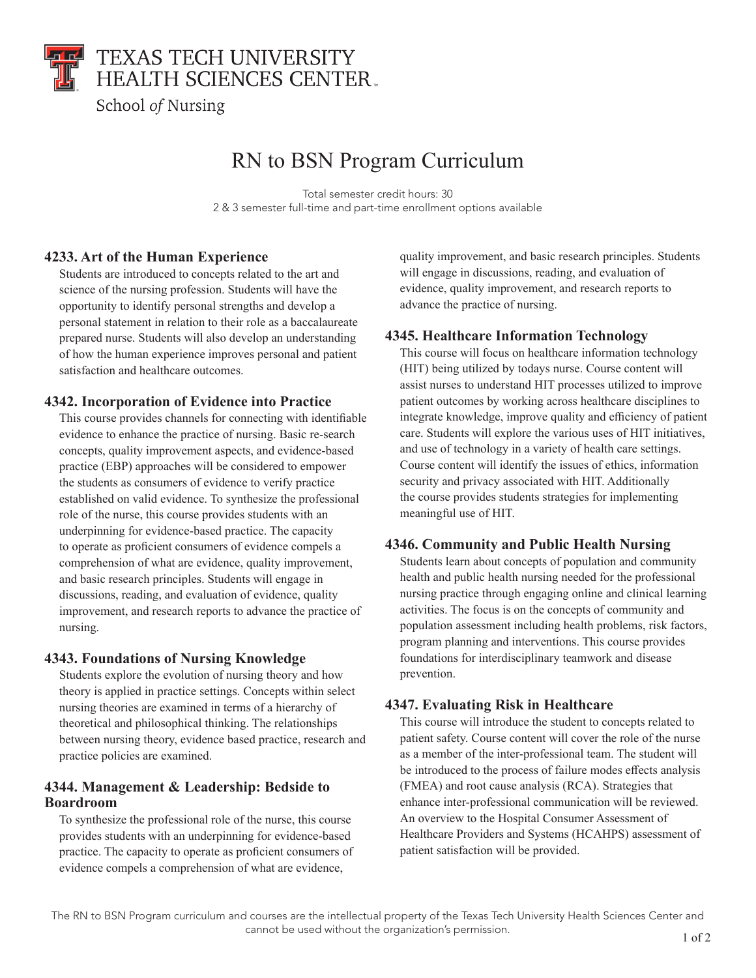

# RN to BSN Program Curriculum

Total semester credit hours: 30 2 & 3 semester full-time and part-time enrollment options available

### **4233. Art of the Human Experience**

Students are introduced to concepts related to the art and science of the nursing profession. Students will have the opportunity to identify personal strengths and develop a personal statement in relation to their role as a baccalaureate prepared nurse. Students will also develop an understanding of how the human experience improves personal and patient satisfaction and healthcare outcomes.

#### **4342. Incorporation of Evidence into Practice**

This course provides channels for connecting with identifiable evidence to enhance the practice of nursing. Basic re-search concepts, quality improvement aspects, and evidence-based practice (EBP) approaches will be considered to empower the students as consumers of evidence to verify practice established on valid evidence. To synthesize the professional role of the nurse, this course provides students with an underpinning for evidence-based practice. The capacity to operate as proficient consumers of evidence compels a comprehension of what are evidence, quality improvement, and basic research principles. Students will engage in discussions, reading, and evaluation of evidence, quality improvement, and research reports to advance the practice of nursing.

#### **4343. Foundations of Nursing Knowledge**

Students explore the evolution of nursing theory and how theory is applied in practice settings. Concepts within select nursing theories are examined in terms of a hierarchy of theoretical and philosophical thinking. The relationships between nursing theory, evidence based practice, research and practice policies are examined.

#### **4344. Management & Leadership: Bedside to Boardroom**

To synthesize the professional role of the nurse, this course provides students with an underpinning for evidence-based practice. The capacity to operate as proficient consumers of evidence compels a comprehension of what are evidence,

quality improvement, and basic research principles. Students will engage in discussions, reading, and evaluation of evidence, quality improvement, and research reports to advance the practice of nursing.

#### **4345. Healthcare Information Technology**

This course will focus on healthcare information technology (HIT) being utilized by todays nurse. Course content will assist nurses to understand HIT processes utilized to improve patient outcomes by working across healthcare disciplines to integrate knowledge, improve quality and efficiency of patient care. Students will explore the various uses of HIT initiatives, and use of technology in a variety of health care settings. Course content will identify the issues of ethics, information security and privacy associated with HIT. Additionally the course provides students strategies for implementing meaningful use of HIT.

#### **4346. Community and Public Health Nursing**

Students learn about concepts of population and community health and public health nursing needed for the professional nursing practice through engaging online and clinical learning activities. The focus is on the concepts of community and population assessment including health problems, risk factors, program planning and interventions. This course provides foundations for interdisciplinary teamwork and disease prevention.

# **4347. Evaluating Risk in Healthcare**

This course will introduce the student to concepts related to patient safety. Course content will cover the role of the nurse as a member of the inter-professional team. The student will be introduced to the process of failure modes effects analysis (FMEA) and root cause analysis (RCA). Strategies that enhance inter-professional communication will be reviewed. An overview to the Hospital Consumer Assessment of Healthcare Providers and Systems (HCAHPS) assessment of patient satisfaction will be provided.

The RN to BSN Program curriculum and courses are the intellectual property of the Texas Tech University Health Sciences Center and cannot be used without the organization's permission.